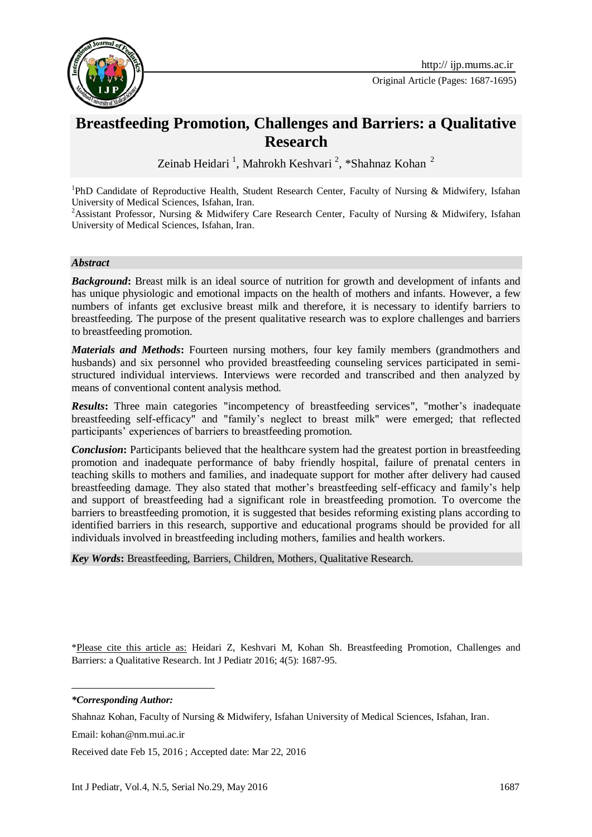

Original Article (Pages: 1687-1695)

# **Breastfeeding Promotion, Challenges and Barriers: a Qualitative Research**

Zeinab Heidari <sup>1</sup>, Mahrokh Keshvari <sup>2</sup>, \*Shahnaz Kohan <sup>2</sup>

<sup>1</sup>PhD Candidate of Reproductive Health, Student Research Center, Faculty of Nursing & Midwifery, Isfahan University of Medical Sciences, Isfahan, Iran.

<sup>2</sup>Assistant Professor, Nursing & Midwifery Care Research Center, Faculty of Nursing & Midwifery, Isfahan University of Medical Sciences, Isfahan, Iran.

#### *Abstract*

*Background***:** Breast milk is an ideal source of nutrition for growth and development of infants and has unique physiologic and emotional impacts on the health of mothers and infants. However, a few numbers of infants get exclusive breast milk and therefore, it is necessary to identify barriers to breastfeeding. The purpose of the present qualitative research was to explore challenges and barriers to breastfeeding promotion.

*Materials and Methods***:** Fourteen nursing mothers, four key family members (grandmothers and husbands) and six personnel who provided breastfeeding counseling services participated in semistructured individual interviews. Interviews were recorded and transcribed and then analyzed by means of conventional content analysis method.

*Results***:** Three main categories "incompetency of breastfeeding services", "mother's inadequate breastfeeding self-efficacy" and "family's neglect to breast milk" were emerged; that reflected participants' experiences of barriers to breastfeeding promotion.

*Conclusion*: Participants believed that the healthcare system had the greatest portion in breastfeeding promotion and inadequate performance of baby friendly hospital, failure of prenatal centers in teaching skills to mothers and families, and inadequate support for mother after delivery had caused breastfeeding damage. They also stated that mother's breastfeeding self-efficacy and family's help and support of breastfeeding had a significant role in breastfeeding promotion. To overcome the barriers to breastfeeding promotion, it is suggested that besides reforming existing plans according to identified barriers in this research, supportive and educational programs should be provided for all individuals involved in breastfeeding including mothers, families and health workers.

*Key Words***:** Breastfeeding, Barriers, Children, Mothers, Qualitative Research.

\*Please cite this article as: Heidari Z, Keshvari M, Kohan Sh. Breastfeeding Promotion, Challenges and Barriers: a Qualitative Research. Int J Pediatr 2016; 4(5): 1687-95.

*\*Corresponding Author:*

1

Shahnaz Kohan, Faculty of Nursing & Midwifery, Isfahan University of Medical Sciences, Isfahan, Iran.

Email: [kohan@nm.mui.ac.ir](mailto:kohan@nm.mui.ac.ir)

Received date Feb 15, 2016 ; Accepted date: Mar 22, 2016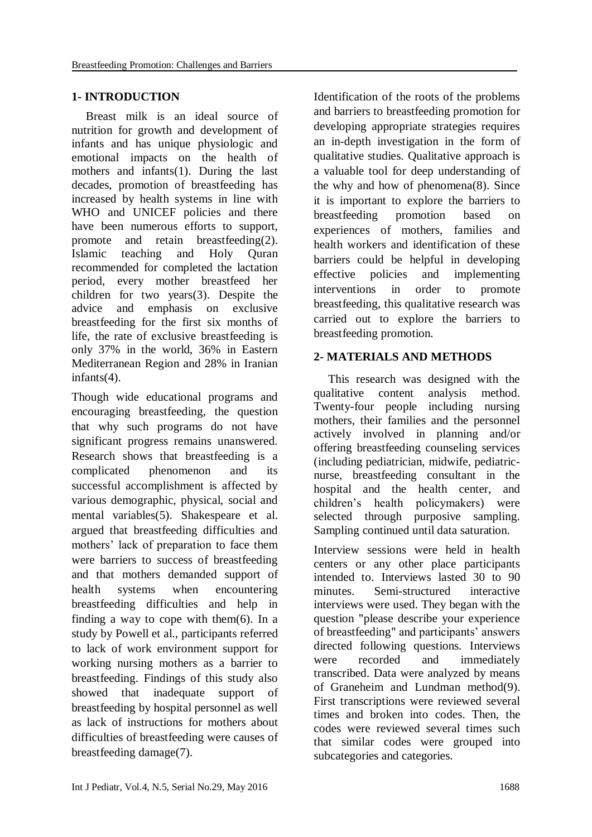#### **1- INTRODUCTION**

Breast milk is an ideal source of nutrition for growth and development of infants and has unique physiologic and emotional impacts on the health of mothers and infants[\(1\)](#page-8-0). During the last decades, promotion of breastfeeding has increased by health systems in line with WHO and UNICEF policies and there have been numerous efforts to support, promote and retain breastfeeding[\(2\)](#page-8-1). Islamic teaching and Holy Quran recommended for completed the lactation period, every mother breastfeed her children for two years[\(3\)](#page-8-2). Despite the advice and emphasis on exclusive breastfeeding for the first six months of life, the rate of exclusive breastfeeding is only 37% in the world, 36% in Eastern Mediterranean Region and 28% in Iranian infants[\(4\)](#page-8-3).

Though wide educational programs and encouraging breastfeeding, the question that why such programs do not have significant progress remains unanswered. Research shows that breastfeeding is a complicated phenomenon and its successful accomplishment is affected by various demographic, physical, social and mental variables[\(5\)](#page-8-4). Shakespeare et al. argued that breastfeeding difficulties and mothers' lack of preparation to face them were barriers to success of breastfeeding and that mothers demanded support of health systems when encountering breastfeeding difficulties and help in finding a way to cope with them[\(6\)](#page-8-5). In a study by Powell et al., participants referred to lack of work environment support for working nursing mothers as a barrier to breastfeeding. Findings of this study also showed that inadequate support of breastfeeding by hospital personnel as well as lack of instructions for mothers about difficulties of breastfeeding were causes of breastfeeding damage[\(7\)](#page-8-6).

Identification of the roots of the problems and barriers to breastfeeding promotion for developing appropriate strategies requires an in-depth investigation in the form of qualitative studies. Qualitative approach is a valuable tool for deep understanding of the why and how of phenomena[\(8\)](#page-8-7). Since it is important to explore the barriers to breastfeeding promotion based on experiences of mothers, families and health workers and identification of these barriers could be helpful in developing effective policies and implementing interventions in order to promote breastfeeding, this qualitative research was carried out to explore the barriers to breastfeeding promotion.

#### **2- MATERIALS AND METHODS**

This research was designed with the qualitative content analysis method. Twenty-four people including nursing mothers, their families and the personnel actively involved in planning and/or offering breastfeeding counseling services (including pediatrician, midwife, pediatricnurse, breastfeeding consultant in the hospital and the health center, and children's health policymakers) were selected through purposive sampling. Sampling continued until data saturation.

Interview sessions were held in health centers or any other place participants intended to. Interviews lasted 30 to 90 minutes. Semi-structured interactive interviews were used. They began with the question "please describe your experience of breastfeeding" and participants' answers directed following questions. Interviews were recorded and immediately transcribed. Data were analyzed by means of Graneheim and Lundman method[\(9\)](#page-8-8). First transcriptions were reviewed several times and broken into codes. Then, the codes were reviewed several times such that similar codes were grouped into subcategories and categories.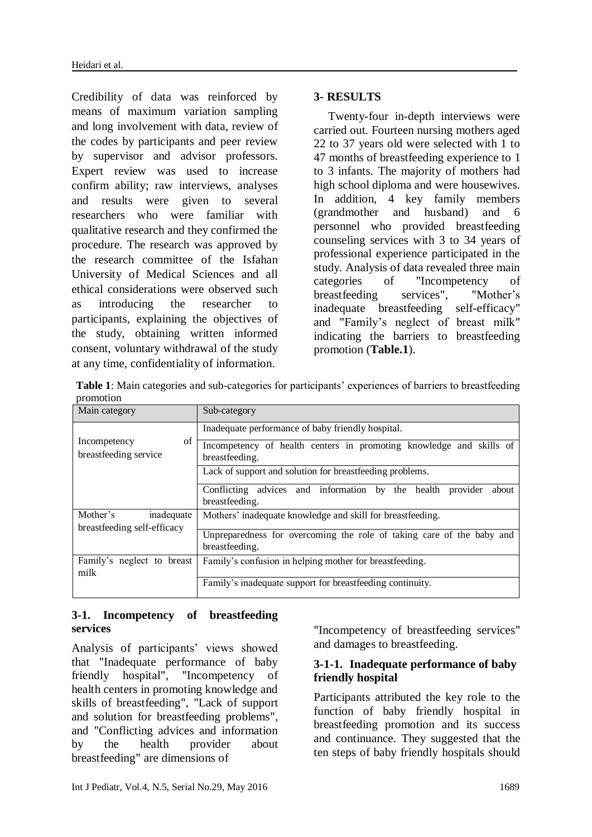Credibility of data was reinforced by means of maximum variation sampling and long involvement with data, review of the codes by participants and peer review by supervisor and advisor professors. Expert review was used to increase confirm ability; raw interviews, analyses and results were given to several researchers who were familiar with qualitative research and they confirmed the procedure. The research was approved by the research committee of the Isfahan University of Medical Sciences and all ethical considerations were observed such as introducing the researcher to participants, explaining the objectives of the study, obtaining written informed consent, voluntary withdrawal of the study at any time, confidentiality of information.

# **3- RESULTS**

Twenty-four in-depth interviews were carried out. Fourteen nursing mothers aged 22 to 37 years old were selected with 1 to 47 months of breastfeeding experience to 1 to 3 infants. The majority of mothers had high school diploma and were housewives. In addition, 4 key family members (grandmother and husband) and 6 personnel who provided breastfeeding counseling services with 3 to 34 years of professional experience participated in the study. Analysis of data revealed three main categories of "Incompetency of breastfeeding services", "Mother's inadequate breastfeeding self-efficacy" and "Family's neglect of breast milk" indicating the barriers to breastfeeding promotion (**Table.1**).

**Table 1**: Main categories and sub-categories for participants' experiences of barriers to breastfeeding promotion

| Main category                                         | Sub-category                                                                             |
|-------------------------------------------------------|------------------------------------------------------------------------------------------|
| of<br>Incompetency<br>breastfeeding service           | Inadequate performance of baby friendly hospital.                                        |
|                                                       | Incompetency of health centers in promoting knowledge and skills of<br>breastfeeding.    |
|                                                       | Lack of support and solution for breastfeeding problems.                                 |
|                                                       | Conflicting advices and information by the health<br>provider<br>about<br>breastfeeding. |
| Mother's<br>inadequate<br>breastfeeding self-efficacy | Mothers' inadequate knowledge and skill for breastfeeding.                               |
|                                                       | Unpreparedness for overcoming the role of taking care of the baby and<br>breastfeeding.  |
| Family's neglect to breast<br>milk                    | Family's confusion in helping mother for breastfeeding.                                  |
|                                                       | Family's inadequate support for breastfeeding continuity.                                |

# **3-1. Incompetency of breastfeeding services**

Analysis of participants' views showed that "Inadequate performance of baby friendly hospital", "Incompetency of health centers in promoting knowledge and skills of breastfeeding", "Lack of support and solution for breastfeeding problems", and "Conflicting advices and information by the health provider about breastfeeding" are dimensions of

"Incompetency of breastfeeding services" and damages to breastfeeding.

# **3-1-1. Inadequate performance of baby friendly hospital**

Participants attributed the key role to the function of baby friendly hospital in breastfeeding promotion and its success and continuance. They suggested that the ten steps of baby friendly hospitals should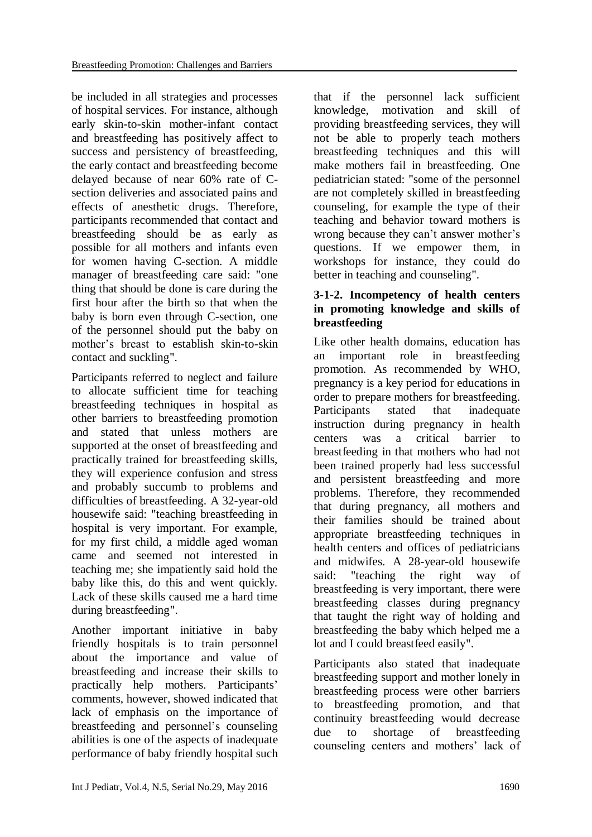be included in all strategies and processes of hospital services. For instance, although early skin-to-skin mother-infant contact and breastfeeding has positively affect to success and persistency of breastfeeding, the early contact and breastfeeding become delayed because of near 60% rate of Csection deliveries and associated pains and effects of anesthetic drugs. Therefore, participants recommended that contact and breastfeeding should be as early as possible for all mothers and infants even for women having C-section. A middle manager of breastfeeding care said: "one thing that should be done is care during the first hour after the birth so that when the baby is born even through C-section, one of the personnel should put the baby on mother's breast to establish skin-to-skin contact and suckling".

Participants referred to neglect and failure to allocate sufficient time for teaching breastfeeding techniques in hospital as other barriers to breastfeeding promotion and stated that unless mothers are supported at the onset of breastfeeding and practically trained for breastfeeding skills, they will experience confusion and stress and probably succumb to problems and difficulties of breastfeeding. A 32-year-old housewife said: "teaching breastfeeding in hospital is very important. For example, for my first child, a middle aged woman came and seemed not interested in teaching me; she impatiently said hold the baby like this, do this and went quickly. Lack of these skills caused me a hard time during breastfeeding".

Another important initiative in baby friendly hospitals is to train personnel about the importance and value of breastfeeding and increase their skills to practically help mothers. Participants' comments, however, showed indicated that lack of emphasis on the importance of breastfeeding and personnel's counseling abilities is one of the aspects of inadequate performance of baby friendly hospital such that if the personnel lack sufficient knowledge, motivation and skill of providing breastfeeding services, they will not be able to properly teach mothers breastfeeding techniques and this will make mothers fail in breastfeeding. One pediatrician stated: "some of the personnel are not completely skilled in breastfeeding counseling, for example the type of their teaching and behavior toward mothers is wrong because they can't answer mother's questions. If we empower them, in workshops for instance, they could do better in teaching and counseling".

# **3-1-2. Incompetency of health centers in promoting knowledge and skills of breastfeeding**

Like other health domains, education has an important role in breastfeeding promotion. As recommended by WHO, pregnancy is a key period for educations in order to prepare mothers for breastfeeding. Participants stated that inadequate instruction during pregnancy in health centers was a critical barrier to breastfeeding in that mothers who had not been trained properly had less successful and persistent breastfeeding and more problems. Therefore, they recommended that during pregnancy, all mothers and their families should be trained about appropriate breastfeeding techniques in health centers and offices of pediatricians and midwifes. A 28-year-old housewife said: "teaching the right way of breastfeeding is very important, there were breastfeeding classes during pregnancy that taught the right way of holding and breastfeeding the baby which helped me a lot and I could breastfeed easily".

Participants also stated that inadequate breastfeeding support and mother lonely in breastfeeding process were other barriers to breastfeeding promotion, and that continuity breastfeeding would decrease due to shortage of breastfeeding counseling centers and mothers' lack of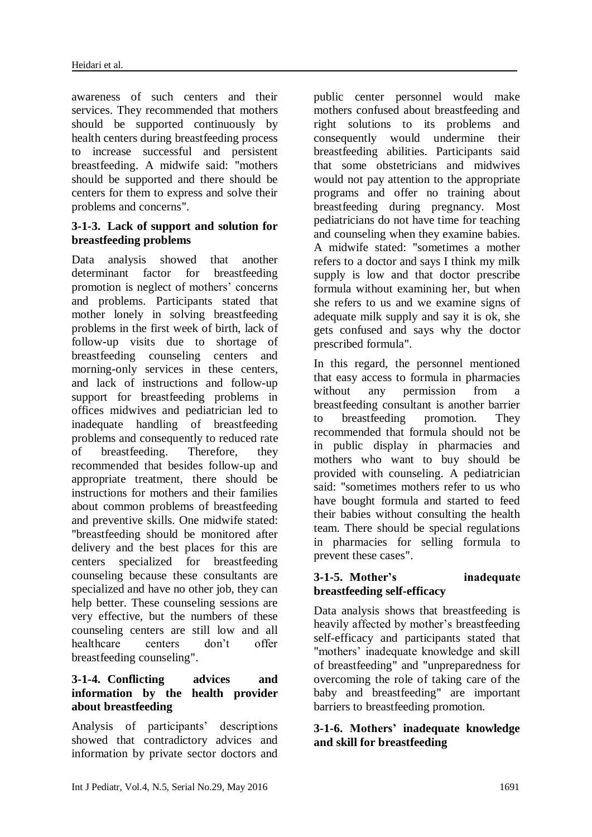awareness of such centers and their services. They recommended that mothers should be supported continuously by health centers during breastfeeding process to increase successful and persistent breastfeeding. A midwife said: "mothers should be supported and there should be centers for them to express and solve their problems and concerns".

# **3-1-3. Lack of support and solution for breastfeeding problems**

Data analysis showed that another determinant factor for breastfeeding promotion is neglect of mothers' concerns and problems. Participants stated that mother lonely in solving breastfeeding problems in the first week of birth, lack of follow-up visits due to shortage of breastfeeding counseling centers and morning-only services in these centers, and lack of instructions and follow-up support for breastfeeding problems in offices midwives and pediatrician led to inadequate handling of breastfeeding problems and consequently to reduced rate of breastfeeding. Therefore, they recommended that besides follow-up and appropriate treatment, there should be instructions for mothers and their families about common problems of breastfeeding and preventive skills. One midwife stated: "breastfeeding should be monitored after delivery and the best places for this are centers specialized for breastfeeding counseling because these consultants are specialized and have no other job, they can help better. These counseling sessions are very effective, but the numbers of these counseling centers are still low and all healthcare centers don't offer breastfeeding counseling".

# **3-1-4. Conflicting advices and information by the health provider about breastfeeding**

Analysis of participants' descriptions showed that contradictory advices and information by private sector doctors and public center personnel would make mothers confused about breastfeeding and right solutions to its problems and consequently would undermine their breastfeeding abilities. Participants said that some obstetricians and midwives would not pay attention to the appropriate programs and offer no training about breastfeeding during pregnancy. Most pediatricians do not have time for teaching and counseling when they examine babies. A midwife stated: "sometimes a mother refers to a doctor and says I think my milk supply is low and that doctor prescribe formula without examining her, but when she refers to us and we examine signs of adequate milk supply and say it is ok, she gets confused and says why the doctor prescribed formula".

In this regard, the personnel mentioned that easy access to formula in pharmacies without any permission from a breastfeeding consultant is another barrier to breastfeeding promotion. They recommended that formula should not be in public display in pharmacies and mothers who want to buy should be provided with counseling. A pediatrician said: "sometimes mothers refer to us who have bought formula and started to feed their babies without consulting the health team. There should be special regulations in pharmacies for selling formula to prevent these cases".

#### **3-1-5. Mother's inadequate breastfeeding self-efficacy**

Data analysis shows that breastfeeding is heavily affected by mother's breastfeeding self-efficacy and participants stated that "mothers' inadequate knowledge and skill of breastfeeding" and "unpreparedness for overcoming the role of taking care of the baby and breastfeeding" are important barriers to breastfeeding promotion.

#### **3-1-6. Mothers' inadequate knowledge and skill for breastfeeding**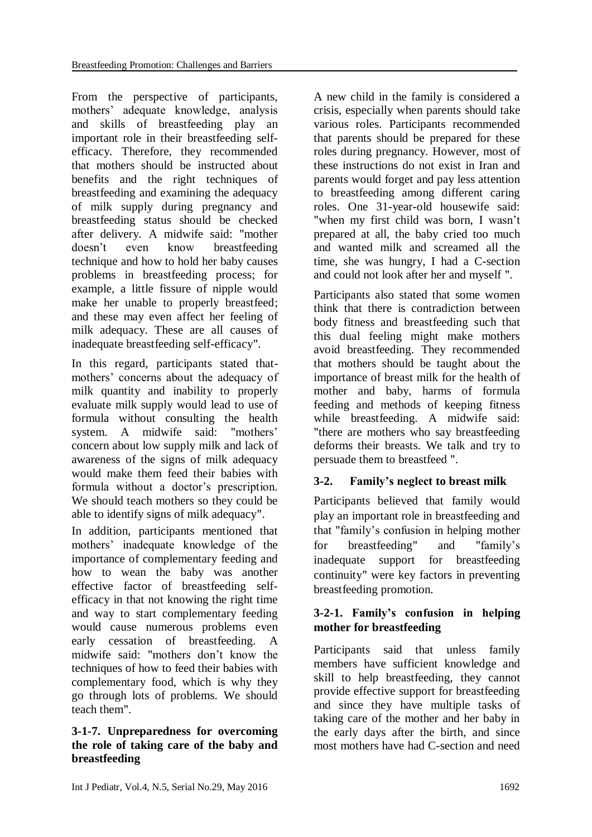From the perspective of participants, mothers' adequate knowledge, analysis and skills of breastfeeding play an important role in their breastfeeding selfefficacy. Therefore, they recommended that mothers should be instructed about benefits and the right techniques of breastfeeding and examining the adequacy of milk supply during pregnancy and breastfeeding status should be checked after delivery. A midwife said: "mother doesn't even know breastfeeding technique and how to hold her baby causes problems in breastfeeding process; for example, a little fissure of nipple would make her unable to properly breastfeed; and these may even affect her feeling of milk adequacy. These are all causes of inadequate breastfeeding self-efficacy".

In this regard, participants stated thatmothers' concerns about the adequacy of milk quantity and inability to properly evaluate milk supply would lead to use of formula without consulting the health system. A midwife said: "mothers' concern about low supply milk and lack of awareness of the signs of milk adequacy would make them feed their babies with formula without a doctor's prescription. We should teach mothers so they could be able to identify signs of milk adequacy".

In addition, participants mentioned that mothers' inadequate knowledge of the importance of complementary feeding and how to wean the baby was another effective factor of breastfeeding selfefficacy in that not knowing the right time and way to start complementary feeding would cause numerous problems even early cessation of breastfeeding. A midwife said: "mothers don't know the techniques of how to feed their babies with complementary food, which is why they go through lots of problems. We should teach them".

#### **3-1-7. Unpreparedness for overcoming the role of taking care of the baby and breastfeeding**

A new child in the family is considered a crisis, especially when parents should take various roles. Participants recommended that parents should be prepared for these roles during pregnancy. However, most of these instructions do not exist in Iran and parents would forget and pay less attention to breastfeeding among different caring roles. One 31-year-old housewife said: "when my first child was born, I wasn't prepared at all, the baby cried too much and wanted milk and screamed all the time, she was hungry, I had a C-section and could not look after her and myself ".

Participants also stated that some women think that there is contradiction between body fitness and breastfeeding such that this dual feeling might make mothers avoid breastfeeding. They recommended that mothers should be taught about the importance of breast milk for the health of mother and baby, harms of formula feeding and methods of keeping fitness while breastfeeding. A midwife said: "there are mothers who say breastfeeding deforms their breasts. We talk and try to persuade them to breastfeed ".

# **3-2. Family's neglect to breast milk**

Participants believed that family would play an important role in breastfeeding and that "family's confusion in helping mother for breastfeeding" and "family's inadequate support for breastfeeding continuity" were key factors in preventing breastfeeding promotion.

# **3-2-1. Family's confusion in helping mother for breastfeeding**

Participants said that unless family members have sufficient knowledge and skill to help breastfeeding, they cannot provide effective support for breastfeeding and since they have multiple tasks of taking care of the mother and her baby in the early days after the birth, and since most mothers have had C-section and need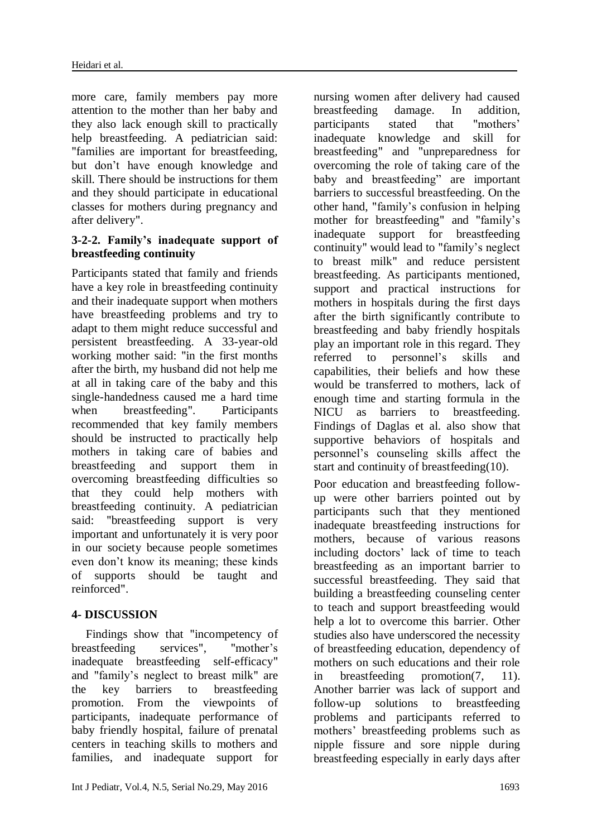more care, family members pay more attention to the mother than her baby and they also lack enough skill to practically help breastfeeding. A pediatrician said: "families are important for breastfeeding, but don't have enough knowledge and skill. There should be instructions for them and they should participate in educational classes for mothers during pregnancy and after delivery".

# **3-2-2. Family's inadequate support of breastfeeding continuity**

Participants stated that family and friends have a key role in breastfeeding continuity and their inadequate support when mothers have breastfeeding problems and try to adapt to them might reduce successful and persistent breastfeeding. A 33-year-old working mother said: "in the first months after the birth, my husband did not help me at all in taking care of the baby and this single-handedness caused me a hard time when breastfeeding". Participants recommended that key family members should be instructed to practically help mothers in taking care of babies and breastfeeding and support them in overcoming breastfeeding difficulties so that they could help mothers with breastfeeding continuity. A pediatrician said: "breastfeeding support is very important and unfortunately it is very poor in our society because people sometimes even don't know its meaning; these kinds of supports should be taught and reinforced".

# **4- DISCUSSION**

Findings show that "incompetency of breastfeeding services", "mother's inadequate breastfeeding self-efficacy" and "family's neglect to breast milk" are the key barriers to breastfeeding promotion. From the viewpoints of participants, inadequate performance of baby friendly hospital, failure of prenatal centers in teaching skills to mothers and families, and inadequate support for nursing women after delivery had caused breastfeeding damage. In addition, participants stated that "mothers' inadequate knowledge and skill for breastfeeding" and "unpreparedness for overcoming the role of taking care of the baby and breastfeeding" are important barriers to successful breastfeeding. On the other hand, "family's confusion in helping mother for breastfeeding" and "family's inadequate support for breastfeeding continuity" would lead to "family's neglect to breast milk" and reduce persistent breastfeeding. As participants mentioned, support and practical instructions for mothers in hospitals during the first days after the birth significantly contribute to breastfeeding and baby friendly hospitals play an important role in this regard. They referred to personnel's skills and capabilities, their beliefs and how these would be transferred to mothers, lack of enough time and starting formula in the NICU as barriers to breastfeeding. Findings of Daglas et al. also show that supportive behaviors of hospitals and personnel's counseling skills affect the start and continuity of breastfeeding[\(10\)](#page-8-9).

Poor education and breastfeeding followup were other barriers pointed out by participants such that they mentioned inadequate breastfeeding instructions for mothers, because of various reasons including doctors' lack of time to teach breastfeeding as an important barrier to successful breastfeeding. They said that building a breastfeeding counseling center to teach and support breastfeeding would help a lot to overcome this barrier. Other studies also have underscored the necessity of breastfeeding education, dependency of mothers on such educations and their role in breastfeeding promotion[\(7,](#page-8-6) [11\)](#page-8-10). Another barrier was lack of support and follow-up solutions to breastfeeding problems and participants referred to mothers' breastfeeding problems such as nipple fissure and sore nipple during breastfeeding especially in early days after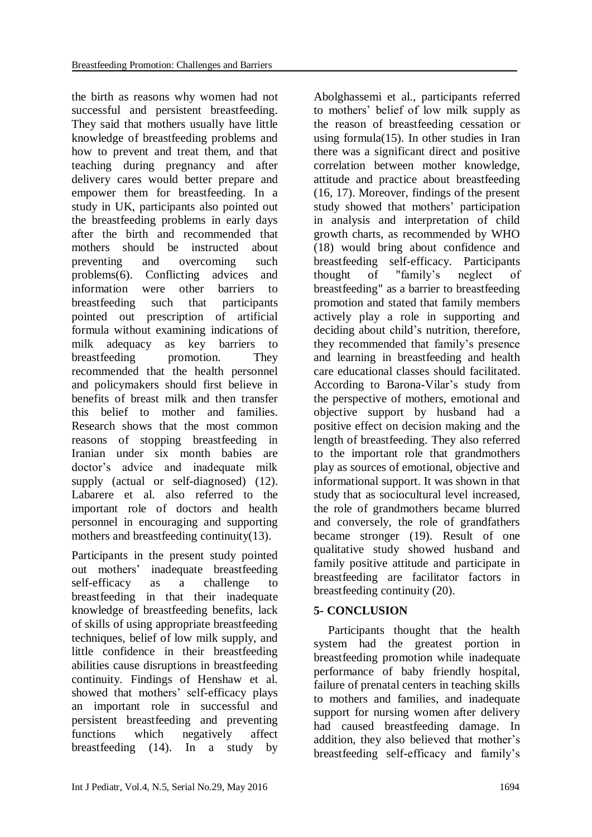the birth as reasons why women had not successful and persistent breastfeeding. They said that mothers usually have little knowledge of breastfeeding problems and how to prevent and treat them, and that teaching during pregnancy and after delivery cares would better prepare and empower them for breastfeeding. In a study in UK, participants also pointed out the breastfeeding problems in early days after the birth and recommended that mothers should be instructed about preventing and overcoming such problems[\(6\)](#page-8-5). Conflicting advices and information were other barriers to breastfeeding such that participants pointed out prescription of artificial formula without examining indications of milk adequacy as key barriers to breastfeeding promotion. They recommended that the health personnel and policymakers should first believe in benefits of breast milk and then transfer this belief to mother and families. Research shows that the most common reasons of stopping breastfeeding in Iranian under six month babies are doctor's advice and inadequate milk supply (actual or self-diagnosed) [\(12\)](#page-8-11). Labarere et al. also referred to the important role of doctors and health personnel in encouraging and supporting mothers and breastfeeding continuity[\(13\)](#page-8-12).

Participants in the present study pointed out mothers' inadequate breastfeeding self-efficacy as a challenge to breastfeeding in that their inadequate knowledge of breastfeeding benefits, lack of skills of using appropriate breastfeeding techniques, belief of low milk supply, and little confidence in their breastfeeding abilities cause disruptions in breastfeeding continuity. Findings of Henshaw et al. showed that mothers' self-efficacy plays an important role in successful and persistent breastfeeding and preventing functions which negatively affect breastfeeding [\(14\)](#page-8-13). In a study by

Abolghassemi et al., participants referred to mothers' belief of low milk supply as the reason of breastfeeding cessation or using formula[\(15\)](#page-8-14). In other studies in Iran there was a significant direct and positive correlation between mother knowledge, attitude and practice about breastfeeding [\(16,](#page-8-15) [17\)](#page-8-16). Moreover, findings of the present study showed that mothers' participation in analysis and interpretation of child growth charts, as recommended by WHO [\(18\)](#page-8-17) would bring about confidence and breastfeeding self-efficacy. Participants thought of "family's neglect of breastfeeding" as a barrier to breastfeeding promotion and stated that family members actively play a role in supporting and deciding about child's nutrition, therefore, they recommended that family's presence and learning in breastfeeding and health care educational classes should facilitated. According to Barona-Vilar's study from the perspective of mothers, emotional and objective support by husband had a positive effect on decision making and the length of breastfeeding. They also referred to the important role that grandmothers play as sources of emotional, objective and informational support. It was shown in that study that as sociocultural level increased, the role of grandmothers became blurred and conversely, the role of grandfathers became stronger [\(19\)](#page-8-18). Result of one qualitative study showed husband and family positive attitude and participate in breastfeeding are facilitator factors in breastfeeding continuity [\(20\)](#page-8-19).

# **5- CONCLUSION**

Participants thought that the health system had the greatest portion in breastfeeding promotion while inadequate performance of baby friendly hospital, failure of prenatal centers in teaching skills to mothers and families, and inadequate support for nursing women after delivery had caused breastfeeding damage. In addition, they also believed that mother's breastfeeding self-efficacy and family's